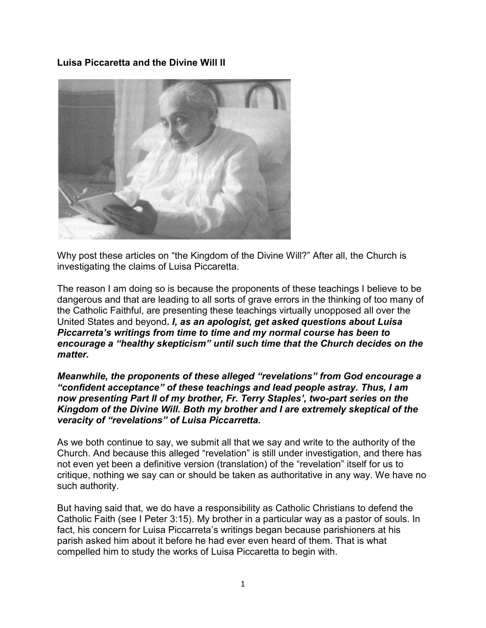**Luisa Piccaretta and the Divine Will II** 



Why post these articles on "the Kingdom of the Divine Will?" After all, the Church is investigating the claims of Luisa Piccaretta.

The reason I am doing so is because the proponents of these teachings I believe to be dangerous and that are leading to all sorts of grave errors in the thinking of too many of the Catholic Faithful, are presenting these teachings virtually unopposed all over the United States and beyond*. I, as an apologist, get asked questions about Luisa Piccarreta's writings from time to time and my normal course has been to encourage a "healthy skepticism" until such time that the Church decides on the matter.* 

*Meanwhile, the proponents of these alleged "revelations" from God encourage a "confident acceptance" of these teachings and lead people astray. Thus, I am now presenting Part II of my brother, Fr. Terry Staples', two-part series on the Kingdom of the Divine Will. Both my brother and I are extremely skeptical of the veracity of "revelations" of Luisa Piccarretta.* 

As we both continue to say, we submit all that we say and write to the authority of the Church. And because this alleged "revelation" is still under investigation, and there has not even yet been a definitive version (translation) of the "revelation" itself for us to critique, nothing we say can or should be taken as authoritative in any way. We have no such authority.

But having said that, we do have a responsibility as Catholic Christians to defend the Catholic Faith (see I Peter 3:15). My brother in a particular way as a pastor of souls. In fact, his concern for Luisa Piccarreta's writings began because parishioners at his parish asked him about it before he had ever even heard of them. That is what compelled him to study the works of Luisa Piccaretta to begin with.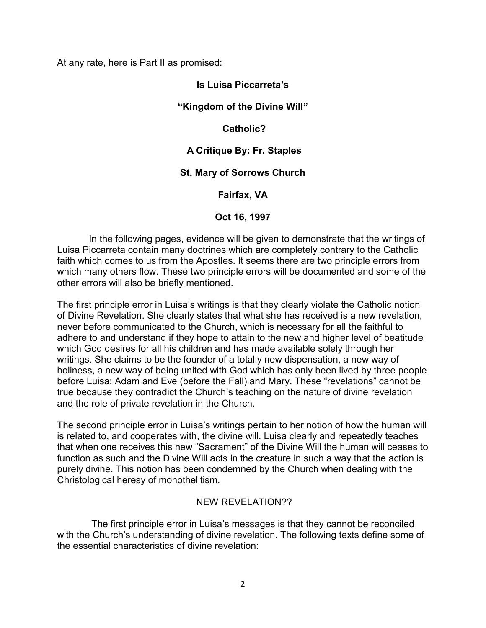At any rate, here is Part II as promised:

# **Is Luisa Piccarreta's**

### **"Kingdom of the Divine Will"**

## **Catholic?**

# **A Critique By: Fr. Staples**

#### **St. Mary of Sorrows Church**

#### **Fairfax, VA**

## **Oct 16, 1997**

 In the following pages, evidence will be given to demonstrate that the writings of Luisa Piccarreta contain many doctrines which are completely contrary to the Catholic faith which comes to us from the Apostles. It seems there are two principle errors from which many others flow. These two principle errors will be documented and some of the other errors will also be briefly mentioned.

The first principle error in Luisa's writings is that they clearly violate the Catholic notion of Divine Revelation. She clearly states that what she has received is a new revelation, never before communicated to the Church, which is necessary for all the faithful to adhere to and understand if they hope to attain to the new and higher level of beatitude which God desires for all his children and has made available solely through her writings. She claims to be the founder of a totally new dispensation, a new way of holiness, a new way of being united with God which has only been lived by three people before Luisa: Adam and Eve (before the Fall) and Mary. These "revelations" cannot be true because they contradict the Church's teaching on the nature of divine revelation and the role of private revelation in the Church.

The second principle error in Luisa's writings pertain to her notion of how the human will is related to, and cooperates with, the divine will. Luisa clearly and repeatedly teaches that when one receives this new "Sacrament" of the Divine Will the human will ceases to function as such and the Divine Will acts in the creature in such a way that the action is purely divine. This notion has been condemned by the Church when dealing with the Christological heresy of monothelitism.

### NEW REVELATION??

 The first principle error in Luisa's messages is that they cannot be reconciled with the Church's understanding of divine revelation. The following texts define some of the essential characteristics of divine revelation: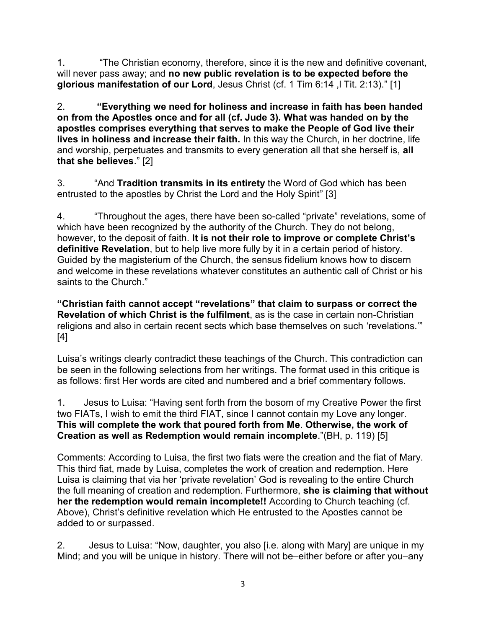1. "The Christian economy, therefore, since it is the new and definitive covenant, will never pass away; and **no new public revelation is to be expected before the glorious manifestation of our Lord**, Jesus Christ (cf. 1 Tim 6:14 ,l Tit. 2:13)." [1]

2. **"Everything we need for holiness and increase in faith has been handed on from the Apostles once and for all (cf. Jude 3). What was handed on by the apostles comprises everything that serves to make the People of God live their lives in holiness and increase their faith.** In this way the Church, in her doctrine, life and worship, perpetuates and transmits to every generation all that she herself is, **all that she believes**." [2]

3. "And **Tradition transmits in its entirety** the Word of God which has been entrusted to the apostles by Christ the Lord and the Holy Spirit" [3]

4. "Throughout the ages, there have been so-called "private" revelations, some of which have been recognized by the authority of the Church. They do not belong, however, to the deposit of faith. **It is not their role to improve or complete Christ's definitive Revelation**, but to help live more fully by it in a certain period of history. Guided by the magisterium of the Church, the sensus fidelium knows how to discern and welcome in these revelations whatever constitutes an authentic call of Christ or his saints to the Church."

**"Christian faith cannot accept "revelations" that claim to surpass or correct the Revelation of which Christ is the fulfilment**, as is the case in certain non-Christian religions and also in certain recent sects which base themselves on such 'revelations.'" [4]

Luisa's writings clearly contradict these teachings of the Church. This contradiction can be seen in the following selections from her writings. The format used in this critique is as follows: first Her words are cited and numbered and a brief commentary follows.

1. Jesus to Luisa: "Having sent forth from the bosom of my Creative Power the first two FIATs, I wish to emit the third FIAT, since I cannot contain my Love any longer. **This will complete the work that poured forth from Me**. **Otherwise, the work of Creation as well as Redemption would remain incomplete**."(BH, p. 119) [5]

Comments: According to Luisa, the first two fiats were the creation and the fiat of Mary. This third fiat, made by Luisa, completes the work of creation and redemption. Here Luisa is claiming that via her 'private revelation' God is revealing to the entire Church the full meaning of creation and redemption. Furthermore, **she is claiming that without her the redemption would remain incomplete!!** According to Church teaching (cf. Above), Christ's definitive revelation which He entrusted to the Apostles cannot be added to or surpassed.

2. Jesus to Luisa: "Now, daughter, you also [i.e. along with Mary] are unique in my Mind; and you will be unique in history. There will not be–either before or after you–any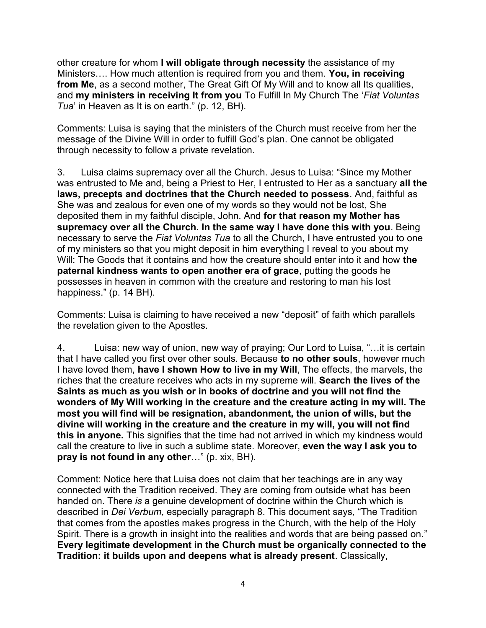other creature for whom **I will obligate through necessity** the assistance of my Ministers…. How much attention is required from you and them. **You, in receiving from Me**, as a second mother, The Great Gift Of My Will and to know all Its qualities, and **my ministers in receiving It from you** To Fulfill In My Church The '*Fiat Voluntas Tua*' in Heaven as It is on earth." (p. 12, BH).

Comments: Luisa is saying that the ministers of the Church must receive from her the message of the Divine Will in order to fulfill God's plan. One cannot be obligated through necessity to follow a private revelation.

3. Luisa claims supremacy over all the Church. Jesus to Luisa: "Since my Mother was entrusted to Me and, being a Priest to Her, I entrusted to Her as a sanctuary **all the laws, precepts and doctrines that the Church needed to possess**. And, faithful as She was and zealous for even one of my words so they would not be lost, She deposited them in my faithful disciple, John. And **for that reason my Mother has supremacy over all the Church. In the same way I have done this with you**. Being necessary to serve the *Fiat Voluntas Tua* to all the Church, I have entrusted you to one of my ministers so that you might deposit in him everything I reveal to you about my Will: The Goods that it contains and how the creature should enter into it and how **the paternal kindness wants to open another era of grace**, putting the goods he possesses in heaven in common with the creature and restoring to man his lost happiness." (p. 14 BH).

Comments: Luisa is claiming to have received a new "deposit" of faith which parallels the revelation given to the Apostles.

4. Luisa: new way of union, new way of praying; Our Lord to Luisa, "…it is certain that I have called you first over other souls. Because **to no other souls**, however much I have loved them, **have I shown How to live in my Will**, The effects, the marvels, the riches that the creature receives who acts in my supreme will. **Search the lives of the Saints as much as you wish or in books of doctrine and you will not find the wonders of My Will working in the creature and the creature acting in my will. The most you will find will be resignation, abandonment, the union of wills, but the divine will working in the creature and the creature in my will, you will not find this in anyone.** This signifies that the time had not arrived in which my kindness would call the creature to live in such a sublime state. Moreover, **even the way I ask you to pray is not found in any other**…" (p. xix, BH).

Comment: Notice here that Luisa does not claim that her teachings are in any way connected with the Tradition received. They are coming from outside what has been handed on. There *is* a genuine development of doctrine within the Church which is described in *Dei Verbum*, especially paragraph 8. This document says, "The Tradition that comes from the apostles makes progress in the Church, with the help of the Holy Spirit. There is a growth in insight into the realities and words that are being passed on." **Every legitimate development in the Church must be organically connected to the Tradition: it builds upon and deepens what is already present**. Classically,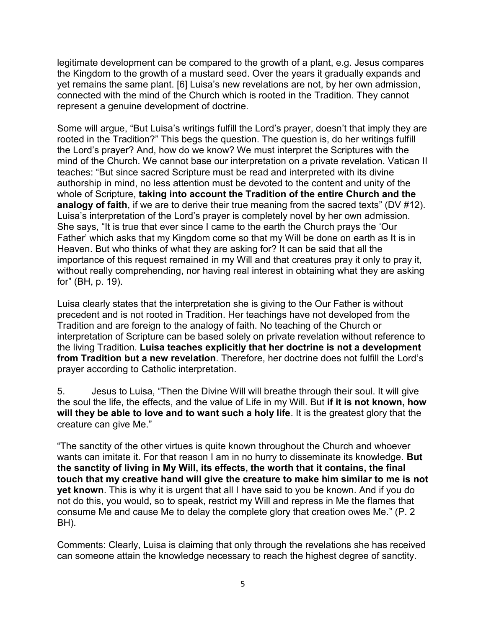legitimate development can be compared to the growth of a plant, e.g. Jesus compares the Kingdom to the growth of a mustard seed. Over the years it gradually expands and yet remains the same plant. [6] Luisa's new revelations are not, by her own admission, connected with the mind of the Church which is rooted in the Tradition. They cannot represent a genuine development of doctrine.

Some will argue, "But Luisa's writings fulfill the Lord's prayer, doesn't that imply they are rooted in the Tradition?" This begs the question. The question is, do her writings fulfill the Lord's prayer? And, how do we know? We must interpret the Scriptures with the mind of the Church. We cannot base our interpretation on a private revelation. Vatican II teaches: "But since sacred Scripture must be read and interpreted with its divine authorship in mind, no less attention must be devoted to the content and unity of the whole of Scripture, **taking into account the Tradition of the entire Church and the analogy of faith**, if we are to derive their true meaning from the sacred texts" (DV #12). Luisa's interpretation of the Lord's prayer is completely novel by her own admission. She says, "It is true that ever since I came to the earth the Church prays the 'Our Father' which asks that my Kingdom come so that my Will be done on earth as It is in Heaven. But who thinks of what they are asking for? It can be said that all the importance of this request remained in my Will and that creatures pray it only to pray it, without really comprehending, nor having real interest in obtaining what they are asking for" (BH, p. 19).

Luisa clearly states that the interpretation she is giving to the Our Father is without precedent and is not rooted in Tradition. Her teachings have not developed from the Tradition and are foreign to the analogy of faith. No teaching of the Church or interpretation of Scripture can be based solely on private revelation without reference to the living Tradition. **Luisa teaches explicitly that her doctrine is not a development from Tradition but a new revelation**. Therefore, her doctrine does not fulfill the Lord's prayer according to Catholic interpretation.

5. Jesus to Luisa, "Then the Divine Will will breathe through their soul. It will give the soul the life, the effects, and the value of Life in my Will. But **if it is not known, how will they be able to love and to want such a holy life**. It is the greatest glory that the creature can give Me."

"The sanctity of the other virtues is quite known throughout the Church and whoever wants can imitate it. For that reason I am in no hurry to disseminate its knowledge. **But the sanctity of living in My Will, its effects, the worth that it contains, the final touch that my creative hand will give the creature to make him similar to me is not vet known**. This is why it is urgent that all I have said to you be known. And if you do not do this, you would, so to speak, restrict my Will and repress in Me the flames that consume Me and cause Me to delay the complete glory that creation owes Me." (P. 2 BH).

Comments: Clearly, Luisa is claiming that only through the revelations she has received can someone attain the knowledge necessary to reach the highest degree of sanctity.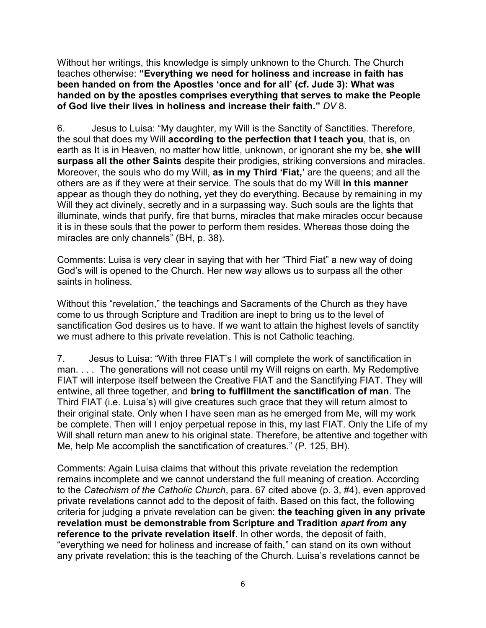Without her writings, this knowledge is simply unknown to the Church. The Church teaches otherwise: **"Everything we need for holiness and increase in faith has been handed on from the Apostles 'once and for all' (cf. Jude 3): What was handed on by the apostles comprises everything that serves to make the People of God live their lives in holiness and increase their faith."** *DV* 8.

6. Jesus to Luisa: "My daughter, my Will is the Sanctity of Sanctities. Therefore, the soul that does my Will **according to the perfection that I teach you**, that is, on earth as It is in Heaven, no matter how little, unknown, or ignorant she my be, **she will surpass all the other Saints** despite their prodigies, striking conversions and miracles. Moreover, the souls who do my Will, **as in my Third 'Fiat,'** are the queens; and all the others are as if they were at their service. The souls that do my Will **in this manner** appear as though they do nothing, yet they do everything. Because by remaining in my Will they act divinely, secretly and in a surpassing way. Such souls are the lights that illuminate, winds that purify, fire that burns, miracles that make miracles occur because it is in these souls that the power to perform them resides. Whereas those doing the miracles are only channels" (BH, p. 38).

Comments: Luisa is very clear in saying that with her "Third Fiat" a new way of doing God's will is opened to the Church. Her new way allows us to surpass all the other saints in holiness.

Without this "revelation," the teachings and Sacraments of the Church as they have come to us through Scripture and Tradition are inept to bring us to the level of sanctification God desires us to have. If we want to attain the highest levels of sanctity we must adhere to this private revelation. This is not Catholic teaching.

7. Jesus to Luisa: "With three FIAT's I will complete the work of sanctification in man. . . . The generations will not cease until my Will reigns on earth. My Redemptive FIAT will interpose itself between the Creative FIAT and the Sanctifying FIAT. They will entwine, all three together, and **bring to fulfillment the sanctification of man**. The Third FIAT (i.e. Luisa's) will give creatures such grace that they will return almost to their original state. Only when I have seen man as he emerged from Me, will my work be complete. Then will I enjoy perpetual repose in this, my last FIAT. Only the Life of my Will shall return man anew to his original state. Therefore, be attentive and together with Me, help Me accomplish the sanctification of creatures." (P. 125, BH).

Comments: Again Luisa claims that without this private revelation the redemption remains incomplete and we cannot understand the full meaning of creation. According to the *Catechism of the Catholic Church*, para. 67 cited above (p. 3, #4), even approved private revelations cannot add to the deposit of faith. Based on this fact, the following criteria for judging a private revelation can be given: **the teaching given in any private revelation must be demonstrable from Scripture and Tradition** *apart from* **any reference to the private revelation itself**. In other words, the deposit of faith, "everything we need for holiness and increase of faith," can stand on its own without any private revelation; this is the teaching of the Church. Luisa's revelations cannot be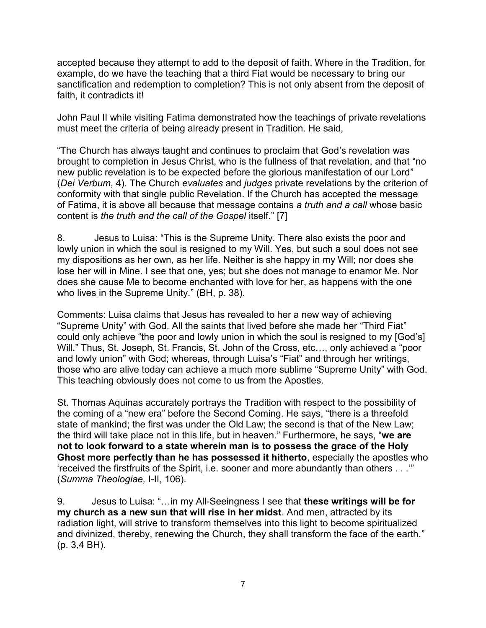accepted because they attempt to add to the deposit of faith. Where in the Tradition, for example, do we have the teaching that a third Fiat would be necessary to bring our sanctification and redemption to completion? This is not only absent from the deposit of faith, it contradicts it!

John Paul II while visiting Fatima demonstrated how the teachings of private revelations must meet the criteria of being already present in Tradition. He said,

"The Church has always taught and continues to proclaim that God's revelation was brought to completion in Jesus Christ, who is the fullness of that revelation, and that "no new public revelation is to be expected before the glorious manifestation of our Lord" (*Dei Verbum*, 4). The Church *evaluates* and *judges* private revelations by the criterion of conformity with that single public Revelation. If the Church has accepted the message of Fatima, it is above all because that message contains *a truth and a call* whose basic content is *the truth and the call of the Gospel* itself." [7]

8. Jesus to Luisa: "This is the Supreme Unity. There also exists the poor and lowly union in which the soul is resigned to my Will. Yes, but such a soul does not see my dispositions as her own, as her life. Neither is she happy in my Will; nor does she lose her will in Mine. I see that one, yes; but she does not manage to enamor Me. Nor does she cause Me to become enchanted with love for her, as happens with the one who lives in the Supreme Unity." (BH, p. 38).

Comments: Luisa claims that Jesus has revealed to her a new way of achieving "Supreme Unity" with God. All the saints that lived before she made her "Third Fiat" could only achieve "the poor and lowly union in which the soul is resigned to my [God's] Will." Thus, St. Joseph, St. Francis, St. John of the Cross, etc..., only achieved a "poor and lowly union" with God; whereas, through Luisa's "Fiat" and through her writings, those who are alive today can achieve a much more sublime "Supreme Unity" with God. This teaching obviously does not come to us from the Apostles.

St. Thomas Aquinas accurately portrays the Tradition with respect to the possibility of the coming of a "new era" before the Second Coming. He says, "there is a threefold state of mankind; the first was under the Old Law; the second is that of the New Law; the third will take place not in this life, but in heaven." Furthermore, he says, "**we are not to look forward to a state wherein man is to possess the grace of the Holy Ghost more perfectly than he has possessed it hitherto**, especially the apostles who 'received the firstfruits of the Spirit, i.e. sooner and more abundantly than others . . .'" (*Summa Theologiae,* I-II, 106).

9. Jesus to Luisa: "…in my All-Seeingness I see that **these writings will be for my church as a new sun that will rise in her midst**. And men, attracted by its radiation light, will strive to transform themselves into this light to become spiritualized and divinized, thereby, renewing the Church, they shall transform the face of the earth." (p. 3,4 BH).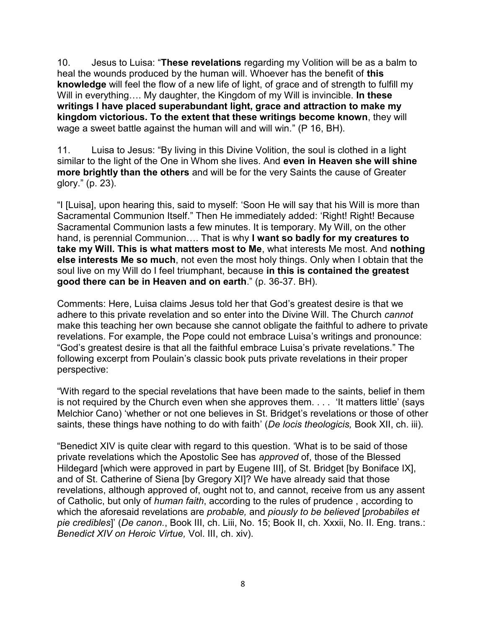10. Jesus to Luisa: "**These revelations** regarding my Volition will be as a balm to heal the wounds produced by the human will. Whoever has the benefit of **this knowledge** will feel the flow of a new life of light, of grace and of strength to fulfill my Will in everything…. My daughter, the Kingdom of my Will is invincible. **In these writings I have placed superabundant light, grace and attraction to make my kingdom victorious. To the extent that these writings become known**, they will wage a sweet battle against the human will and will win." (P 16, BH).

11. Luisa to Jesus: "By living in this Divine Volition, the soul is clothed in a light similar to the light of the One in Whom she lives. And **even in Heaven she will shine more brightly than the others** and will be for the very Saints the cause of Greater glory." (p. 23).

"I [Luisa], upon hearing this, said to myself: 'Soon He will say that his Will is more than Sacramental Communion Itself." Then He immediately added: 'Right! Right! Because Sacramental Communion lasts a few minutes. It is temporary. My Will, on the other hand, is perennial Communion…. That is why **I want so badly for my creatures to take my Will. This is what matters most to Me**, what interests Me most. And **nothing else interests Me so much**, not even the most holy things. Only when I obtain that the soul live on my Will do I feel triumphant, because **in this is contained the greatest good there can be in Heaven and on earth**." (p. 36-37. BH).

Comments: Here, Luisa claims Jesus told her that God's greatest desire is that we adhere to this private revelation and so enter into the Divine Will. The Church *cannot* make this teaching her own because she cannot obligate the faithful to adhere to private revelations. For example, the Pope could not embrace Luisa's writings and pronounce: "God's greatest desire is that all the faithful embrace Luisa's private revelations." The following excerpt from Poulain's classic book puts private revelations in their proper perspective:

"With regard to the special revelations that have been made to the saints, belief in them is not required by the Church even when she approves them. . . . 'It matters little' (says Melchior Cano) 'whether or not one believes in St. Bridget's revelations or those of other saints, these things have nothing to do with faith' (*De locis theologicis,* Book XII, ch. iii).

"Benedict XIV is quite clear with regard to this question. 'What is to be said of those private revelations which the Apostolic See has *approved* of, those of the Blessed Hildegard [which were approved in part by Eugene III], of St. Bridget [by Boniface IX], and of St. Catherine of Siena [by Gregory XI]? We have already said that those revelations, although approved of, ought not to, and cannot, receive from us any assent of Catholic, but only of *human faith*, according to the rules of prudence , according to which the aforesaid revelations are *probable,* and *piously to be believed* [*probabiles et pie credibles*]' (*De canon.*, Book III, ch. Liii, No. 15; Book II, ch. Xxxii, No. II. Eng. trans.: *Benedict XIV on Heroic Virtue,* Vol. III, ch. xiv).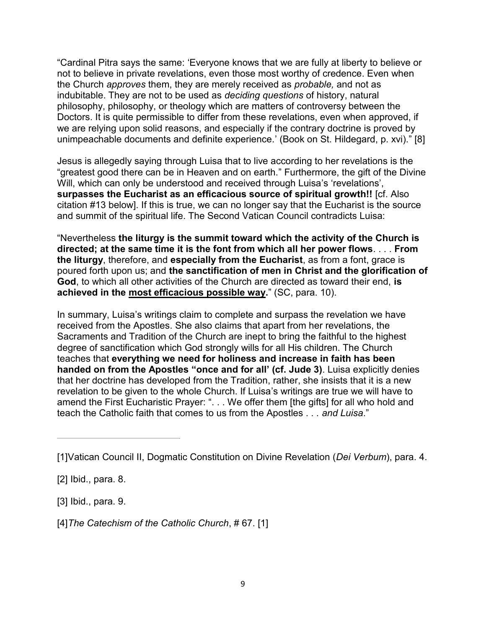"Cardinal Pitra says the same: 'Everyone knows that we are fully at liberty to believe or not to believe in private revelations, even those most worthy of credence. Even when the Church *approves* them, they are merely received as *probable,* and not as indubitable. They are not to be used as *deciding questions* of history, natural philosophy, philosophy, or theology which are matters of controversy between the Doctors. It is quite permissible to differ from these revelations, even when approved, if we are relying upon solid reasons, and especially if the contrary doctrine is proved by unimpeachable documents and definite experience.' (Book on St. Hildegard, p. xvi)." [8]

Jesus is allegedly saying through Luisa that to live according to her revelations is the "greatest good there can be in Heaven and on earth." Furthermore, the gift of the Divine Will, which can only be understood and received through Luisa's 'revelations', **surpasses the Eucharist as an efficacious source of spiritual growth!!** [cf. Also citation #13 below]. If this is true, we can no longer say that the Eucharist is the source and summit of the spiritual life. The Second Vatican Council contradicts Luisa:

"Nevertheless **the liturgy is the summit toward which the activity of the Church is directed; at the same time it is the font from which all her power flows**. . . . **From the liturgy**, therefore, and **especially from the Eucharist**, as from a font, grace is poured forth upon us; and **the sanctification of men in Christ and the glorification of God**, to which all other activities of the Church are directed as toward their end, **is achieved in the most efficacious possible way.**" (SC, para. 10).

In summary, Luisa's writings claim to complete and surpass the revelation we have received from the Apostles. She also claims that apart from her revelations, the Sacraments and Tradition of the Church are inept to bring the faithful to the highest degree of sanctification which God strongly wills for all His children. The Church teaches that **everything we need for holiness and increase in faith has been handed on from the Apostles "once and for all' (cf. Jude 3)**. Luisa explicitly denies that her doctrine has developed from the Tradition, rather, she insists that it is a new revelation to be given to the whole Church. If Luisa's writings are true we will have to amend the First Eucharistic Prayer: ". . . We offer them [the gifts] for all who hold and teach the Catholic faith that comes to us from the Apostles . . . *and Luisa*."

[3] Ibid., para. 9.

[4]*The Catechism of the Catholic Church*, # 67. [1]

<sup>[1]</sup>Vatican Council II, Dogmatic Constitution on Divine Revelation (*Dei Verbum*), para. 4.

<sup>[2]</sup> Ibid., para. 8.